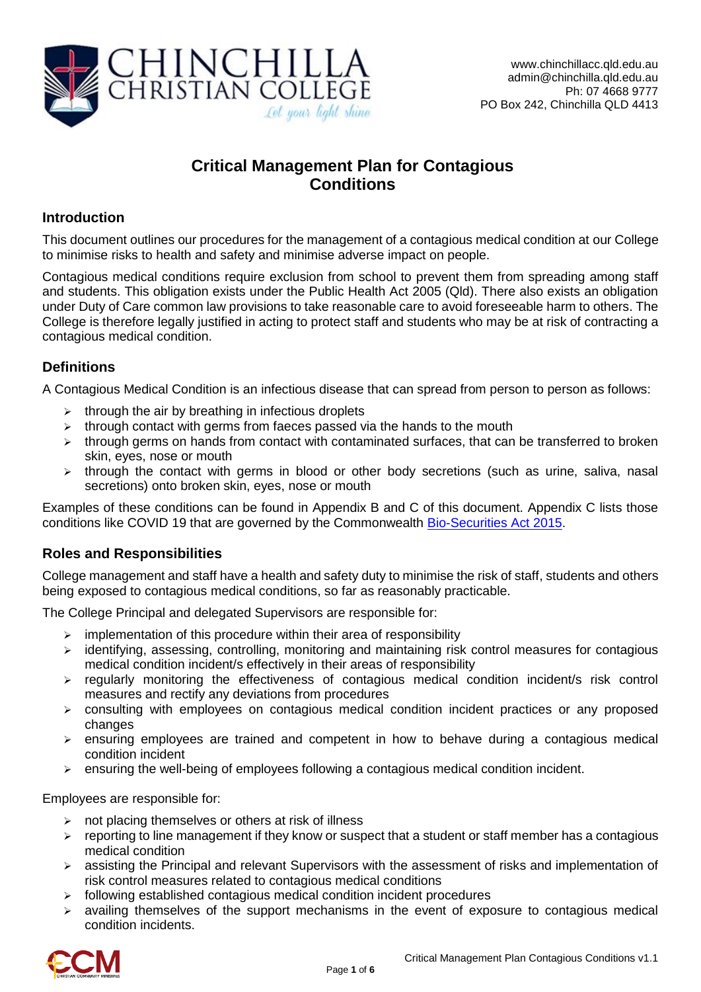

# **Critical Management Plan for Contagious Conditions**

### **Introduction**

This document outlines our procedures for the management of a contagious medical condition at our College to minimise risks to health and safety and minimise adverse impact on people.

Contagious medical conditions require exclusion from school to prevent them from spreading among staff and students. This obligation exists under the Public Health Act 2005 (Qld). There also exists an obligation under Duty of Care common law provisions to take reasonable care to avoid foreseeable harm to others. The College is therefore legally justified in acting to protect staff and students who may be at risk of contracting a contagious medical condition.

# **Definitions**

A Contagious Medical Condition is an infectious disease that can spread from person to person as follows:

- $\triangleright$  through the air by breathing in infectious droplets
- $\triangleright$  through contact with germs from faeces passed via the hands to the mouth
- $\triangleright$  through germs on hands from contact with contaminated surfaces, that can be transferred to broken skin, eyes, nose or mouth
- $\triangleright$  through the contact with germs in blood or other body secretions (such as urine, saliva, nasal secretions) onto broken skin, eyes, nose or mouth

Examples of these conditions can be found in Appendix B and C of this document. Appendix C lists those conditions like COVID 19 that are governed by the Commonwealth [Bio-Securities Act 2015.](https://www.legislation.gov.au/Details/C2017C00303)

#### **Roles and Responsibilities**

College management and staff have a health and safety duty to minimise the risk of staff, students and others being exposed to contagious medical conditions, so far as reasonably practicable.

The College Principal and delegated Supervisors are responsible for:

- $\triangleright$  implementation of this procedure within their area of responsibility
- $\triangleright$  identifying, assessing, controlling, monitoring and maintaining risk control measures for contagious medical condition incident/s effectively in their areas of responsibility
- $\triangleright$  regularly monitoring the effectiveness of contagious medical condition incident/s risk control measures and rectify any deviations from procedures
- consulting with employees on contagious medical condition incident practices or any proposed changes
- $\triangleright$  ensuring employees are trained and competent in how to behave during a contagious medical condition incident
- $\triangleright$  ensuring the well-being of employees following a contagious medical condition incident.

Employees are responsible for:

- $\triangleright$  not placing themselves or others at risk of illness
- $\triangleright$  reporting to line management if they know or suspect that a student or staff member has a contagious medical condition
- $\triangleright$  assisting the Principal and relevant Supervisors with the assessment of risks and implementation of risk control measures related to contagious medical conditions
- $\triangleright$  following established contagious medical condition incident procedures
- $\triangleright$  availing themselves of the support mechanisms in the event of exposure to contagious medical condition incidents.

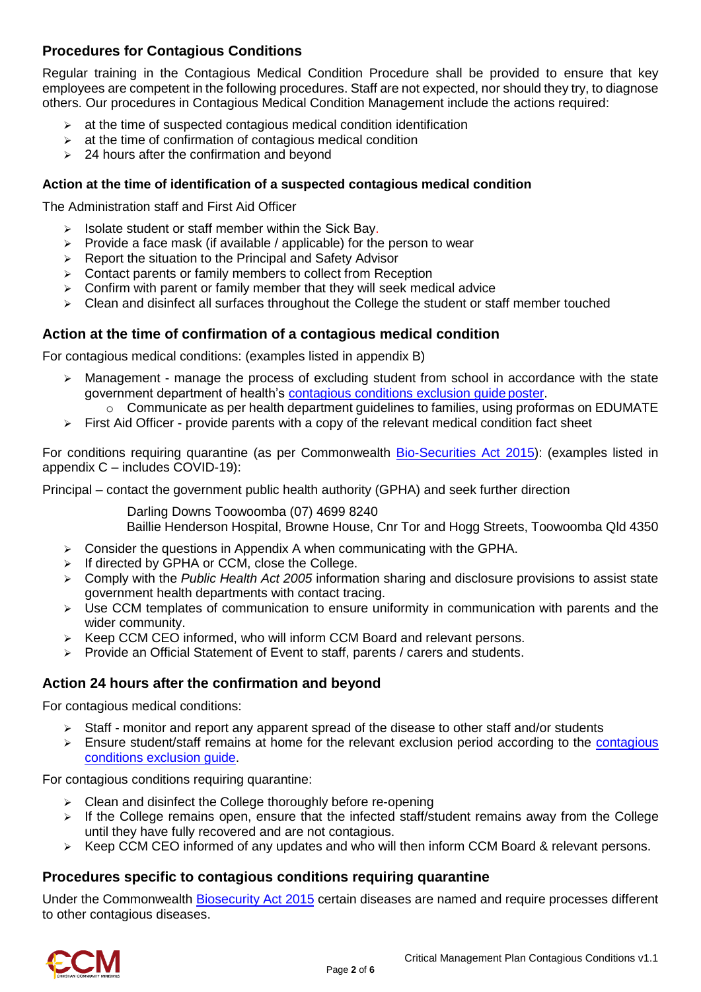# **Procedures for Contagious Conditions**

Regular training in the Contagious Medical Condition Procedure shall be provided to ensure that key employees are competent in the following procedures. Staff are not expected, nor should they try, to diagnose others. Our procedures in Contagious Medical Condition Management include the actions required:

- $\geq$  at the time of suspected contagious medical condition identification
- $\triangleright$  at the time of confirmation of contagious medical condition
- $\geq$  24 hours after the confirmation and beyond

#### **Action at the time of identification of a suspected contagious medical condition**

The Administration staff and First Aid Officer

- $\triangleright$  Isolate student or staff member within the Sick Bay.
- $\triangleright$  Provide a face mask (if available / applicable) for the person to wear
- $\triangleright$  Report the situation to the Principal and Safety Advisor
- $\triangleright$  Contact parents or family members to collect from Reception
- $\triangleright$  Confirm with parent or family member that they will seek medical advice
- $\triangleright$  Clean and disinfect all surfaces throughout the College the student or staff member touched

#### **Action at the time of confirmation of a contagious medical condition**

For contagious medical conditions: (examples listed in appendix B)

- $\triangleright$  Management manage the process of excluding student from school in accordance with the state government department of health's [contagious conditions exclusion guide](https://www.health.qld.gov.au/__data/assets/pdf_file/0022/426820/timeout_poster.pdf) poster.
	- o Communicate as per health department guidelines to families, using proformas on EDUMATE
- $\triangleright$  First Aid Officer provide parents with a copy of the relevant medical condition fact sheet

For conditions requiring quarantine (as per Commonwealth [Bio-Securities Act 2015\)](https://www.legislation.gov.au/Details/C2017C00303): (examples listed in appendix C – includes COVID-19):

Principal – contact the government public health authority (GPHA) and seek further direction

Darling Downs Toowoomba (07) 4699 8240 Baillie Henderson Hospital, Browne House, Cnr Tor and Hogg Streets, Toowoomba Qld 4350

- $\triangleright$  Consider the questions in Appendix A when communicating with the GPHA.
- $\triangleright$  If directed by GPHA or CCM, close the College.
- Comply with the *Public Health Act 2005* information sharing and disclosure provisions to assist state government health departments with contact tracing.
- $\triangleright$  Use CCM templates of communication to ensure uniformity in communication with parents and the wider community.
- $\triangleright$  Keep CCM CEO informed, who will inform CCM Board and relevant persons.
- $\triangleright$  Provide an Official Statement of Event to staff, parents / carers and students.

#### **Action 24 hours after the confirmation and beyond**

For contagious medical conditions:

- $\triangleright$  Staff monitor and report any apparent spread of the disease to other staff and/or students
- $\triangleright$  Ensure student/staff remains at home for the relevant exclusion period according to the contagious [conditions exclusion](https://www.health.qld.gov.au/__data/assets/pdf_file/0022/426820/timeout_poster.pdf) guide.

For contagious conditions requiring quarantine:

- $\triangleright$  Clean and disinfect the College thoroughly before re-opening
- $\triangleright$  If the College remains open, ensure that the infected staff/student remains away from the College until they have fully recovered and are not contagious.
- $\triangleright$  Keep CCM CEO informed of any updates and who will then inform CCM Board & relevant persons.

#### **Procedures specific to contagious conditions requiring quarantine**

Under the Commonwealth [Biosecurity Act 2015](https://www.legislation.gov.au/Details/C2017C00303) certain diseases are named and require processes different to other contagious diseases.

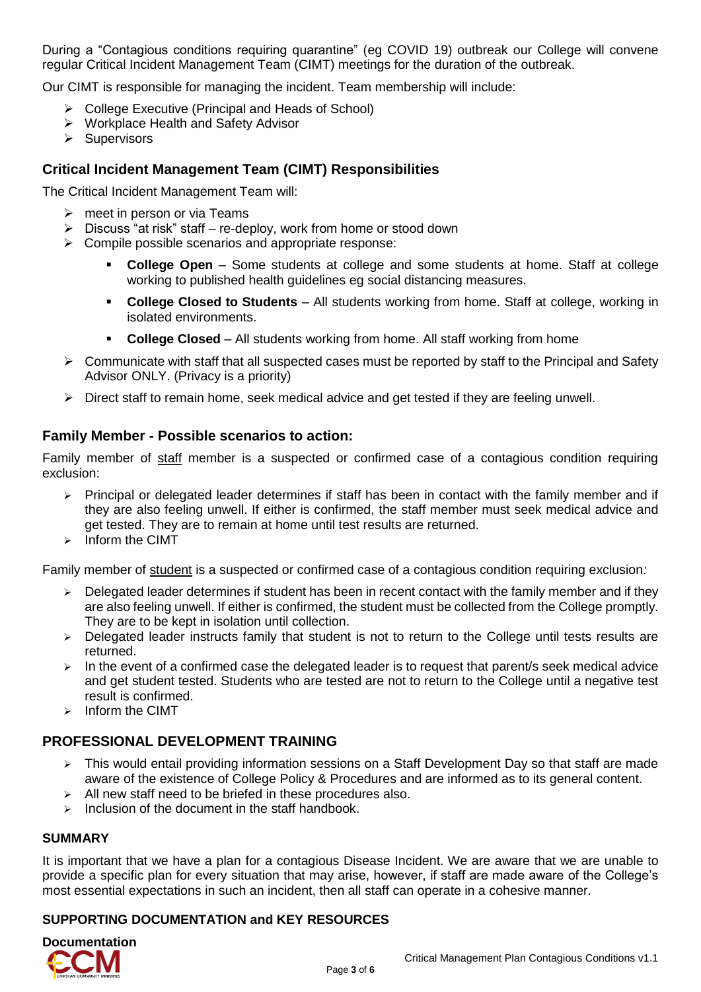During a "Contagious conditions requiring quarantine" (eg COVID 19) outbreak our College will convene regular Critical Incident Management Team (CIMT) meetings for the duration of the outbreak.

Our CIMT is responsible for managing the incident. Team membership will include:

- College Executive (Principal and Heads of School)
- ▶ Workplace Health and Safety Advisor
- $\triangleright$  Supervisors

# **Critical Incident Management Team (CIMT) Responsibilities**

The Critical Incident Management Team will:

- $\triangleright$  meet in person or via Teams
- $\triangleright$  Discuss "at risk" staff re-deploy, work from home or stood down
- $\triangleright$  Compile possible scenarios and appropriate response:
	- **College Open** Some students at college and some students at home. Staff at college working to published health guidelines eg social distancing measures.
	- **College Closed to Students** All students working from home. Staff at college, working in isolated environments.
	- **College Closed** All students working from home. All staff working from home
- $\triangleright$  Communicate with staff that all suspected cases must be reported by staff to the Principal and Safety Advisor ONLY. (Privacy is a priority)
- $\triangleright$  Direct staff to remain home, seek medical advice and get tested if they are feeling unwell.

#### **Family Member - Possible scenarios to action:**

Family member of staff member is a suspected or confirmed case of a contagious condition requiring exclusion:

- $\triangleright$  Principal or delegated leader determines if staff has been in contact with the family member and if they are also feeling unwell. If either is confirmed, the staff member must seek medical advice and get tested. They are to remain at home until test results are returned.
- $\triangleright$  Inform the CIMT

Family member of student is a suspected or confirmed case of a contagious condition requiring exclusion*:*

- $\triangleright$  Delegated leader determines if student has been in recent contact with the family member and if they are also feeling unwell. If either is confirmed, the student must be collected from the College promptly. They are to be kept in isolation until collection.
- > Delegated leader instructs family that student is not to return to the College until tests results are returned.
- $\triangleright$  In the event of a confirmed case the delegated leader is to request that parent/s seek medical advice and get student tested. Students who are tested are not to return to the College until a negative test result is confirmed.
- $\triangleright$  Inform the CIMT

# **PROFESSIONAL DEVELOPMENT TRAINING**

- $\triangleright$  This would entail providing information sessions on a Staff Development Day so that staff are made aware of the existence of College Policy & Procedures and are informed as to its general content.
- $\triangleright$  All new staff need to be briefed in these procedures also.
- $\triangleright$  Inclusion of the document in the staff handbook.

#### **SUMMARY**

It is important that we have a plan for a contagious Disease Incident. We are aware that we are unable to provide a specific plan for every situation that may arise, however, if staff are made aware of the College's most essential expectations in such an incident, then all staff can operate in a cohesive manner.

#### **SUPPORTING DOCUMENTATION and KEY RESOURCES**

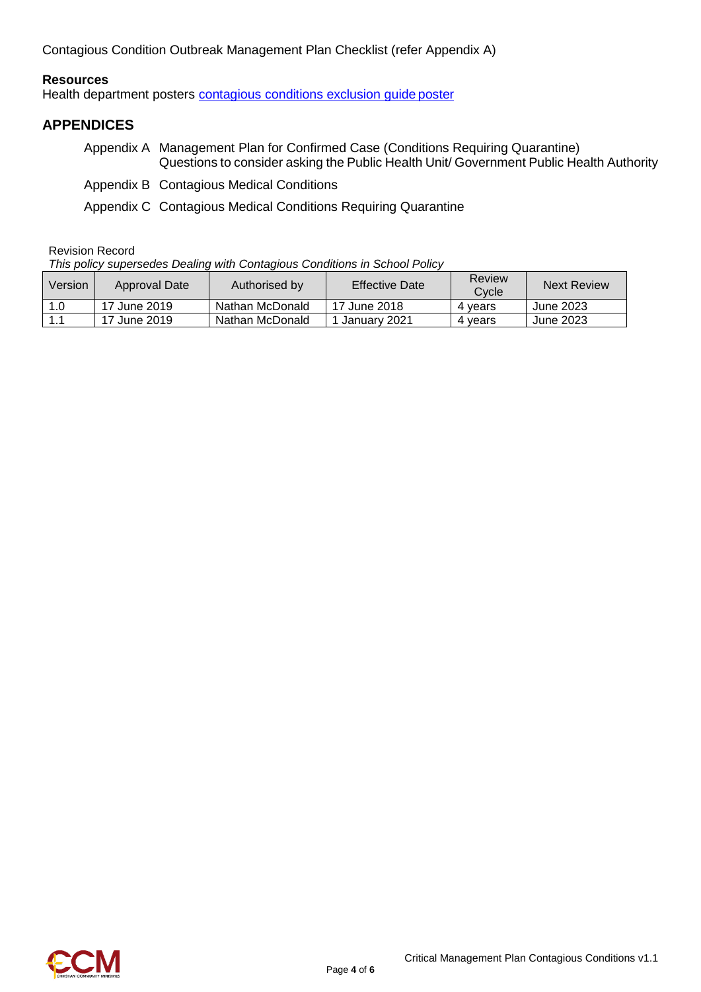Contagious Condition Outbreak Management Plan Checklist (refer Appendix A)

#### **Resources**

Health department posters [contagious conditions exclusion guide](https://www.health.qld.gov.au/__data/assets/pdf_file/0022/426820/timeout_poster.pdf) poster

#### **APPENDICES**

- Appendix A Management Plan for Confirmed Case (Conditions Requiring Quarantine) Questions to consider asking the Public Health Unit/ Government Public Health Authority
- Appendix B Contagious Medical Conditions
- Appendix C Contagious Medical Conditions Requiring Quarantine

Revision Record

*This policy supersedes Dealing with Contagious Conditions in School Policy*

| Version | Approval Date | Authorised by   | <b>Effective Date</b> | Review<br>Cvcle | <b>Next Review</b> |
|---------|---------------|-----------------|-----------------------|-----------------|--------------------|
| 1.0     | 17 June 2019  | Nathan McDonald | 17 June 2018          | 4 vears         | June 2023          |
| l 1.1   | 17 June 2019  | Nathan McDonald | ⊟Januarv 2021         | 4 vears         | June 2023          |

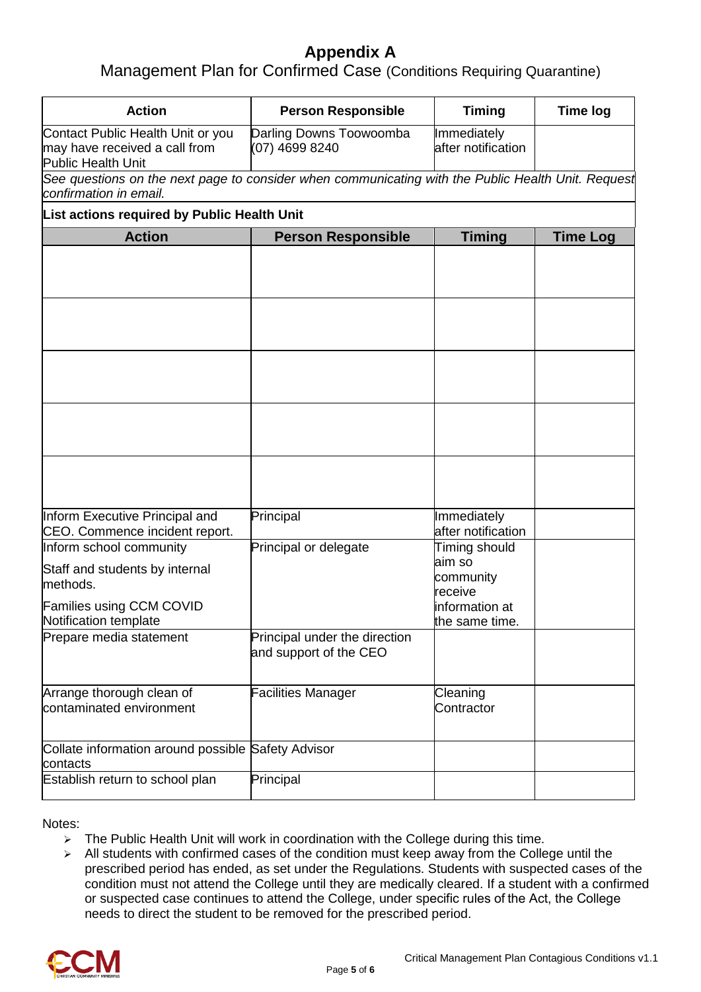# **Appendix A**

Management Plan for Confirmed Case (Conditions Requiring Quarantine)

| <b>Action</b>                                                                                                                     | <b>Person Responsible</b>                               | <b>Timing</b>                                                                       | <b>Time log</b> |  |  |  |  |
|-----------------------------------------------------------------------------------------------------------------------------------|---------------------------------------------------------|-------------------------------------------------------------------------------------|-----------------|--|--|--|--|
| Contact Public Health Unit or you<br>may have received a call from<br>Public Health Unit                                          | Darling Downs Toowoomba<br>(07) 4699 8240               | Immediately<br>after notification                                                   |                 |  |  |  |  |
| See questions on the next page to consider when communicating with the Public Health Unit. Request<br>confirmation in email.      |                                                         |                                                                                     |                 |  |  |  |  |
| List actions required by Public Health Unit                                                                                       |                                                         |                                                                                     |                 |  |  |  |  |
| <b>Action</b>                                                                                                                     | <b>Person Responsible</b>                               | <b>Timing</b>                                                                       | <b>Time Log</b> |  |  |  |  |
|                                                                                                                                   |                                                         |                                                                                     |                 |  |  |  |  |
|                                                                                                                                   |                                                         |                                                                                     |                 |  |  |  |  |
|                                                                                                                                   |                                                         |                                                                                     |                 |  |  |  |  |
|                                                                                                                                   |                                                         |                                                                                     |                 |  |  |  |  |
| Inform Executive Principal and<br>CEO. Commence incident report.                                                                  | Principal                                               | Immediately<br>after notification                                                   |                 |  |  |  |  |
| Inform school community<br>Staff and students by internal<br>methods.<br><b>Families using CCM COVID</b><br>Notification template | Principal or delegate                                   | Timing should<br>aim so<br>community<br>receive<br>information at<br>the same time. |                 |  |  |  |  |
| Prepare media statement                                                                                                           | Principal under the direction<br>and support of the CEO |                                                                                     |                 |  |  |  |  |
| Arrange thorough clean of<br>contaminated environment                                                                             | <b>Facilities Manager</b>                               | Cleaning<br>Contractor                                                              |                 |  |  |  |  |
| Collate information around possible Safety Advisor<br>contacts                                                                    |                                                         |                                                                                     |                 |  |  |  |  |
| Establish return to school plan                                                                                                   | Principal                                               |                                                                                     |                 |  |  |  |  |

Notes:

- $\triangleright$  The Public Health Unit will work in coordination with the College during this time.
- $\triangleright$  All students with confirmed cases of the condition must keep away from the College until the prescribed period has ended, as set under the Regulations. Students with suspected cases of the condition must not attend the College until they are medically cleared. If a student with a confirmed or suspected case continues to attend the College, under specific rules of the Act, the College needs to direct the student to be removed for the prescribed period.